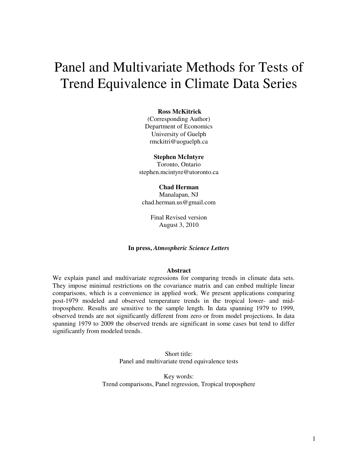# Panel and Multivariate Methods for Tests of Trend Equivalence in Climate Data Series

#### **Ross McKitrick**

(Corresponding Author) Department of Economics University of Guelph rmckitri@uoguelph.ca

#### **Stephen McIntyre**

Toronto, Ontario stephen.mcintyre@utoronto.ca

### **Chad Herman**

Manalapan, NJ chad.herman.us@gmail.com

> Final Revised version August 3, 2010

#### **In press,** *Atmospheric Science Letters*

#### **Abstract**

We explain panel and multivariate regressions for comparing trends in climate data sets. They impose minimal restrictions on the covariance matrix and can embed multiple linear comparisons, which is a convenience in applied work. We present applications comparing post-1979 modeled and observed temperature trends in the tropical lower- and midtroposphere. Results are sensitive to the sample length. In data spanning 1979 to 1999, observed trends are not significantly different from zero or from model projections. In data spanning 1979 to 2009 the observed trends are significant in some cases but tend to differ significantly from modeled trends.

> Short title: Panel and multivariate trend equivalence tests

Key words: Trend comparisons, Panel regression, Tropical troposphere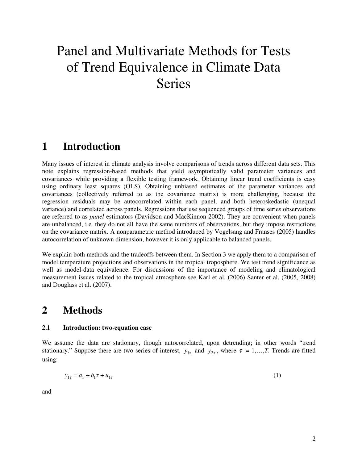# Panel and Multivariate Methods for Tests of Trend Equivalence in Climate Data Series

# **1 Introduction**

Many issues of interest in climate analysis involve comparisons of trends across different data sets. This note explains regression-based methods that yield asymptotically valid parameter variances and covariances while providing a flexible testing framework. Obtaining linear trend coefficients is easy using ordinary least squares (OLS). Obtaining unbiased estimates of the parameter variances and covariances (collectively referred to as the covariance matrix) is more challenging, because the regression residuals may be autocorrelated within each panel, and both heteroskedastic (unequal variance) and correlated across panels. Regressions that use sequenced groups of time series observations are referred to as *panel* estimators (Davidson and MacKinnon 2002). They are convenient when panels are unbalanced, i.e. they do not all have the same numbers of observations, but they impose restrictions on the covariance matrix. A nonparametric method introduced by Vogelsang and Franses (2005) handles autocorrelation of unknown dimension, however it is only applicable to balanced panels.

We explain both methods and the tradeoffs between them. In Section 3 we apply them to a comparison of model temperature projections and observations in the tropical troposphere. We test trend significance as well as model-data equivalence. For discussions of the importance of modeling and climatological measurement issues related to the tropical atmosphere see Karl et al. (2006) Santer et al. (2005, 2008) and Douglass et al. (2007).

# **2 Methods**

### **2.1 Introduction: two-equation case**

We assume the data are stationary, though autocorrelated, upon detrending; in other words "trend stationary." Suppose there are two series of interest,  $y_{1\tau}$  and  $y_{2\tau}$ , where  $\tau = 1,...,T$ . Trends are fitted using:

$$
y_{1\tau} = a_1 + b_1 \tau + u_{1\tau} \tag{1}
$$

and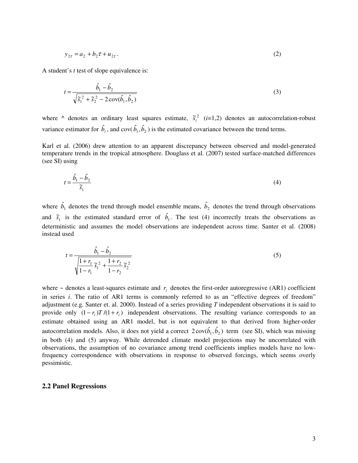$$
y_{2\tau} = a_2 + b_2 \tau + u_{2\tau} \,. \tag{2}
$$

A student's *t* test of slope equivalence is:

$$
t = \frac{\hat{b}_1 - \hat{b}_2}{\sqrt{\tilde{s}_1^2 + \tilde{s}_2^2 - 2\operatorname{cov}(\hat{b}_1, \hat{b}_2)}}
$$
(3)

where  $\wedge$  denotes an ordinary least squares estimate,  $\tilde{s}_i^2$  (*i*=1,2) denotes an autocorrelation-robust variance estimator for  $\hat{b}_i$ , and cov( $\hat{b}_1$ ,  $\hat{b}_2$ ) is the estimated covariance between the trend terms.

Karl et al. (2006) drew attention to an apparent discrepancy between observed and model-generated temperature trends in the tropical atmosphere. Douglass et al. (2007) tested surface-matched differences (see SI) using

$$
t = \frac{\hat{b}_1 - \hat{b}_2}{\tilde{s}_1} \tag{4}
$$

where  $\hat{b}_1$  denotes the trend through model ensemble means,  $\hat{b}_2$  denotes the trend through observations and  $\tilde{s}_1$  is the estimated standard error of  $\hat{b}_1$ . The test (4) incorrectly treats the observations as deterministic and assumes the model observations are independent across time. Santer et al. (2008) instead used

$$
t = \frac{\hat{b}_1 - \hat{b}_2}{\sqrt{\frac{1 + r_1}{1 - r_1} \tilde{s}_1^2 + \frac{1 + r_2}{1 - r_2} \tilde{s}_2^2}}
$$
(5)

where  $\sim$  denotes a least-squares estimate and  $r_i$  denotes the first-order autoregressive (AR1) coefficient in series *i*. The ratio of AR1 terms is commonly referred to as an "effective degrees of freedom" adjustment (e.g. Santer et. al. 2000). Instead of a series providing *T* independent observations it is said to provide only  $(1 - r_i)T/(1 + r_i)$  independent observations. The resulting variance corresponds to an estimate obtained using an AR1 model, but is not equivalent to that derived from higher-order autocorrelation models. Also, it does not yield a correct  $2\text{cov}(\hat{b}_1, \hat{b}_2)$  term (see SI), which was missing in both (4) and (5) anyway. While detrended climate model projections may be uncorrelated with observations, the assumption of no covariance among trend coefficients implies models have no lowfrequency correspondence with observations in response to observed forcings, which seems overly pessimistic.

#### **2.2 Panel Regressions**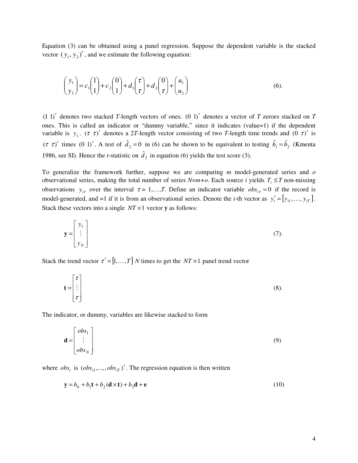Equation (3) can be obtained using a panel regression. Suppose the dependent variable is the stacked vector  $(y_1, y_2)'$ , and we estimate the following equation:

$$
\begin{pmatrix} y_1 \\ y_2 \end{pmatrix} = c_1 \begin{pmatrix} 1 \\ 1 \end{pmatrix} + c_2 \begin{pmatrix} 0 \\ 1 \end{pmatrix} + d_1 \begin{pmatrix} \tau \\ \tau \end{pmatrix} + d_2 \begin{pmatrix} 0 \\ \tau \end{pmatrix} + \begin{pmatrix} u_1 \\ u_2 \end{pmatrix}
$$
 (6).

 $(1\ 1)'$  denotes two stacked *T*-length vectors of ones.  $(0\ 1)'$  denotes a vector of *T* zeroes stacked on *T* ones. This is called an indicator or "dummy variable," since it indicates (value=1) if the dependent variable is  $y_2$ . ( $\tau \tau'$ ) denotes a 2*T*-length vector consisting of two *T*-length time trends and (0  $\tau'$ ) is  $(\tau \tau)'$  times (0 1)'. A test of  $\hat{d}_2 = 0$  in (6) can be shown to be equivalent to testing  $\hat{b}_1 = \hat{b}_2$  (Kmenta 1986, see SI). Hence the *t*-statistic on  $\hat{d}_2$  in equation (6) yields the test score (3).

To generalize the framework further, suppose we are comparing *m* model-generated series and *o* observational series, making the total number of series  $N=m+o$ . Each source *i* yields  $T_i \leq T$  non-missing observations  $y_{i\tau}$  over the interval  $\tau = 1,...,T$ . Define an indicator variable  $obs_{i\tau} = 0$  if the record is model-generated, and =1 if it is from an observational series. Denote the *i*-th vector as  $y'_i = [y_{i1},..., y_{iT}]$ . Stack these vectors into a single *NT* ×1 vector **y** as follows:

$$
\mathbf{y} = \begin{bmatrix} y_1 \\ \vdots \\ y_N \end{bmatrix} \tag{7}.
$$

Stack the trend vector  $\tau' = [1, ..., T]$  *N* times to get the *NT* × 1 panel trend vector

$$
\mathbf{t} = \begin{bmatrix} \tau \\ \vdots \\ \tau \end{bmatrix} \tag{8}.
$$

The indicator, or dummy, variables are likewise stacked to form

$$
\mathbf{d} = \begin{bmatrix} obs_1 \\ \vdots \\ obs_N \end{bmatrix} \tag{9}
$$

where  $obs_i$  is  $(obs_{i1}, \ldots, obs_{iT})'$ . The regression equation is then written

$$
\mathbf{y} = b_0 + b_1 \mathbf{t} + b_2 (\mathbf{d} \times \mathbf{t}) + b_3 \mathbf{d} + \mathbf{e}
$$
 (10)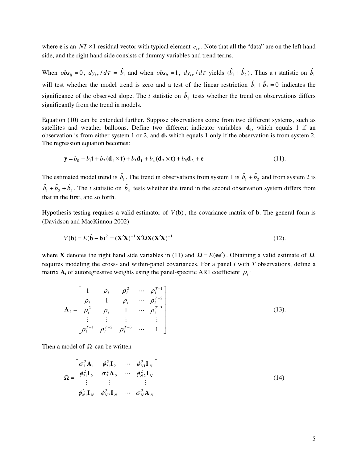where **e** is an  $NT \times 1$  residual vector with typical element  $e_{i\tau}$ . Note that all the "data" are on the left hand side, and the right hand side consists of dummy variables and trend terms.

When  $obs_{ij} = 0$ ,  $dy_{i\tau}/d\tau = \hat{b}_1$  and when  $obs_{it} = 1$ ,  $dy_{i\tau}/d\tau$  yields  $(\hat{b}_1 + \hat{b}_2)$ . Thus a t statistic on  $\hat{b}_1$ will test whether the model trend is zero and a test of the linear restriction  $\hat{b}_1 + \hat{b}_2 = 0$  indicates the significance of the observed slope. The *t* statistic on  $\hat{b}_2$  tests whether the trend on observations differs significantly from the trend in models.

Equation (10) can be extended further. Suppose observations come from two different systems, such as satellites and weather balloons. Define two different indicator variables:  $\mathbf{d}_1$ , which equals 1 if an observation is from either system 1 or 2, and  $\mathbf{d}_2$  which equals 1 only if the observation is from system 2. The regression equation becomes:

$$
\mathbf{y} = b_0 + b_1 \mathbf{t} + b_2 (\mathbf{d}_1 \times \mathbf{t}) + b_3 \mathbf{d}_1 + b_4 (\mathbf{d}_2 \times \mathbf{t}) + b_5 \mathbf{d}_2 + \mathbf{e}
$$
 (11).

The estimated model trend is  $\hat{b}_1$ . The trend in observations from system 1 is  $\hat{b}_1 + \hat{b}_2$  and from system 2 is  $\hat{b}_1 + \hat{b}_2 + \hat{b}_4$ . The *t* statistic on  $\hat{b}_4$  tests whether the trend in the second observation system differs from that in the first, and so forth.

Hypothesis testing requires a valid estimator of  $V(\bf{b})$ , the covariance matrix of  $\bf{b}$ . The general form is (Davidson and MacKinnon 2002)

$$
V(\mathbf{b}) = E(\hat{\mathbf{b}} - \mathbf{b})^2 = (\mathbf{X}'\mathbf{X})^{-1}\mathbf{X}'\Omega\mathbf{X}(\mathbf{X}'\mathbf{X})^{-1}
$$
(12).

where **X** denotes the right hand side variables in (11) and  $\Omega = E(ee^{\gamma})$ . Obtaining a valid estimate of  $\Omega$ requires modeling the cross- and within-panel covariances. For a panel *i* with *T* observations, define a matrix  $A_i$  of autoregressive weights using the panel-specific AR1 coefficient  $\rho_i$ :

$$
\mathbf{A}_{i} = \begin{bmatrix} 1 & \rho_{i} & \rho_{i}^{2} & \cdots & \rho_{i}^{T-1} \\ \rho_{i} & 1 & \rho_{i} & \cdots & \rho_{i}^{T-2} \\ \rho_{i}^{2} & \rho_{i} & 1 & \cdots & \rho_{i}^{T-3} \\ \vdots & \vdots & \vdots & & \vdots \\ \rho_{i}^{T-1} & \rho_{i}^{T-2} & \rho_{i}^{T-3} & \cdots & 1 \end{bmatrix}
$$
(13).

Then a model of  $\Omega$  can be written

$$
\Omega = \begin{bmatrix} \sigma_1^2 \mathbf{A}_1 & \phi_{21}^2 \mathbf{I}_2 & \cdots & \phi_{N1}^2 \mathbf{I}_N \\ \phi_{21}^2 \mathbf{I}_2 & \sigma_2^2 \mathbf{A}_2 & \cdots & \phi_{N2}^2 \mathbf{I}_N \\ \vdots & \vdots & & \vdots \\ \phi_{N1}^2 \mathbf{I}_N & \phi_{N2}^2 \mathbf{I}_N & \cdots & \sigma_N^2 \mathbf{A}_N \end{bmatrix}
$$
(14)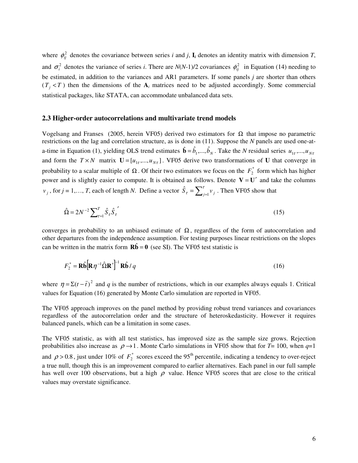where  $\phi_{ij}^2$  denotes the covariance between series *i* and *j*, **I**<sub>*i*</sub> denotes an identity matrix with dimension *T*, and  $\sigma_i^2$  denotes the variance of series *i*. There are *N*(*N*-1)/2 covariances  $\phi_{ij}^2$  in Equation (14) needing to be estimated, in addition to the variances and AR1 parameters. If some panels *j* are shorter than others  $(T_j < T)$  then the dimensions of the  $A_i$  matrices need to be adjusted accordingly. Some commercial statistical packages, like STATA, can accommodate unbalanced data sets.

#### **2.3 Higher-order autocorrelations and multivariate trend models**

Vogelsang and Franses (2005, herein VF05) derived two estimators for Ω that impose no parametric restrictions on the lag and correlation structure, as is done in (11). Suppose the *N* panels are used one-ata-time in Equation (1), yielding OLS trend estimates  $\hat{\mathbf{b}} = \hat{b}_1, ..., \hat{b}_N$ . Take the *N* residual series  $u_{1\tau},...,u_{N\tau}$ and form the  $T \times N$  matrix  $\mathbf{U} = [u_{1r},...,u_{Nr}]$ . VF05 derive two transformations of **U** that converge in probability to a scalar multiple of  $\Omega$ . Of their two estimators we focus on the  $F_2^*$  form which has higher power and is slightly easier to compute. It is obtained as follows. Denote  $V = U'$  and take the columns *v*<sub>*j*</sub>, for *j* = 1,..., *T*, each of length *N*. Define a vector  $\hat{S}_{\tau} = \sum_{j=1}^{\tau}$  $\hat{S}_{\tau} = \sum_{j=1}^{\tau} v_j$ . Then VF05 show that

$$
\hat{\Omega} = 2N^{-2} \sum_{\tau=1}^{T} \hat{S}_{\tau} \hat{S}_{\tau}^{\prime}
$$
\n(15)

converges in probability to an unbiased estimate of  $\Omega$ , regardless of the form of autocorrelation and other departures from the independence assumption. For testing purposes linear restrictions on the slopes can be written in the matrix form  $\mathbf{R}\hat{\mathbf{b}} = \mathbf{0}$  (see SI). The VF05 test statistic is

$$
F_2^* = \mathbf{R}\hat{\mathbf{b}} \left[ \mathbf{R} \eta^{-1} \hat{\mathbf{\Omega}} \mathbf{R}' \right]^{-1} \mathbf{R} \hat{\mathbf{b}} / q
$$
 (16)

where  $\eta = \Sigma(t - \bar{t})^2$  and *q* is the number of restrictions, which in our examples always equals 1. Critical values for Equation (16) generated by Monte Carlo simulation are reported in VF05.

The VF05 approach improves on the panel method by providing robust trend variances and covariances regardless of the autocorrelation order and the structure of heteroskedasticity. However it requires balanced panels, which can be a limitation in some cases.

The VF05 statistic, as with all test statistics, has improved size as the sample size grows. Rejection probabilities also increase as  $\rho \rightarrow 1$ . Monte Carlo simulations in VF05 show that for *T*= 100, when  $q=1$ and  $\rho > 0.8$ , just under 10% of  $F_2^*$  scores exceed the 95<sup>th</sup> percentile, indicating a tendency to over-reject a true null, though this is an improvement compared to earlier alternatives. Each panel in our full sample has well over 100 observations, but a high  $\rho$  value. Hence VF05 scores that are close to the critical values may overstate significance.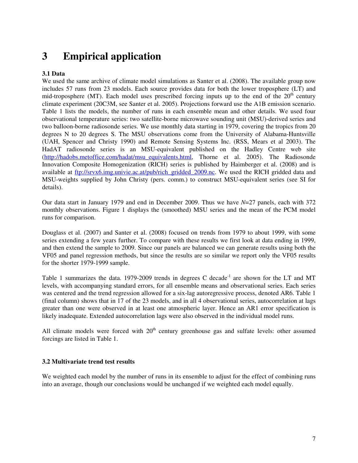# **3 Empirical application**

### **3.1 Data**

We used the same archive of climate model simulations as Santer et al. (2008). The available group now includes 57 runs from 23 models. Each source provides data for both the lower troposphere (LT) and mid-troposphere (MT). Each model uses prescribed forcing inputs up to the end of the  $20<sup>th</sup>$  century climate experiment (20C3M, see Santer et al. 2005). Projections forward use the A1B emission scenario. Table 1 lists the models, the number of runs in each ensemble mean and other details. We used four observational temperature series: two satellite-borne microwave sounding unit (MSU)-derived series and two balloon-borne radiosonde series. We use monthly data starting in 1979, covering the tropics from 20 degrees N to 20 degrees S. The MSU observations come from the University of Alabama-Huntsville (UAH, Spencer and Christy 1990) and Remote Sensing Systems Inc. (RSS, Mears et al 2003). The HadAT radiosonde series is an MSU-equivalent published on the Hadley Centre web site (http://hadobs.metoffice.com/hadat/msu\_equivalents.html, Thorne et al. 2005). The Radiosonde Innovation Composite Homogenization (RICH) series is published by Haimberger et al. (2008) and is available at ftp://srvx6.img.univie.ac.at/pub/rich\_gridded\_2009.nc. We used the RICH gridded data and MSU-weights supplied by John Christy (pers. comm.) to construct MSU-equivalent series (see SI for details).

Our data start in January 1979 and end in December 2009. Thus we have *N*=27 panels, each with 372 monthly observations. Figure 1 displays the (smoothed) MSU series and the mean of the PCM model runs for comparison.

Douglass et al. (2007) and Santer et al. (2008) focused on trends from 1979 to about 1999, with some series extending a few years further. To compare with these results we first look at data ending in 1999, and then extend the sample to 2009. Since our panels are balanced we can generate results using both the VF05 and panel regression methods, but since the results are so similar we report only the VF05 results for the shorter 1979-1999 sample.

Table 1 summarizes the data. 1979-2009 trends in degrees C decade<sup>-1</sup> are shown for the LT and MT levels, with accompanying standard errors, for all ensemble means and observational series. Each series was centered and the trend regression allowed for a six-lag autoregressive process, denoted AR6. Table 1 (final column) shows that in 17 of the 23 models, and in all 4 observational series, autocorrelation at lags greater than one were observed in at least one atmospheric layer. Hence an AR1 error specification is likely inadequate. Extended autocorrelation lags were also observed in the individual model runs.

All climate models were forced with  $20<sup>th</sup>$  century greenhouse gas and sulfate levels: other assumed forcings are listed in Table 1.

### **3.2 Multivariate trend test results**

We weighted each model by the number of runs in its ensemble to adjust for the effect of combining runs into an average, though our conclusions would be unchanged if we weighted each model equally.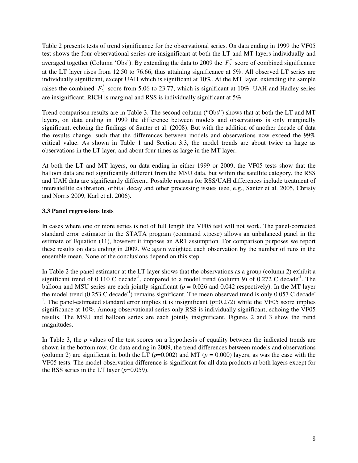Table 2 presents tests of trend significance for the observational series. On data ending in 1999 the VF05 test shows the four observational series are insignificant at both the LT and MT layers individually and averaged together (Column 'Obs'). By extending the data to 2009 the  $F_2^*$  score of combined significance at the LT layer rises from 12.50 to 76.66, thus attaining significance at 5%. All observed LT series are individually significant, except UAH which is significant at 10%. At the MT layer, extending the sample raises the combined  $F_2^*$  score from 5.06 to 23.77, which is significant at 10%. UAH and Hadley series are insignificant, RICH is marginal and RSS is individually significant at 5%.

Trend comparison results are in Table 3. The second column ("Obs") shows that at both the LT and MT layers, on data ending in 1999 the difference between models and observations is only marginally significant, echoing the findings of Santer et al. (2008). But with the addition of another decade of data the results change, such that the differences between models and observations now exceed the 99% critical value. As shown in Table 1 and Section 3.3, the model trends are about twice as large as observations in the LT layer, and about four times as large in the MT layer.

At both the LT and MT layers, on data ending in either 1999 or 2009, the VF05 tests show that the balloon data are not significantly different from the MSU data, but within the satellite category, the RSS and UAH data are significantly different. Possible reasons for RSS/UAH differences include treatment of intersatellite calibration, orbital decay and other processing issues (see, e.g., Santer et al. 2005, Christy and Norris 2009, Karl et al. 2006).

## **3.3 Panel regressions tests**

In cases where one or more series is not of full length the VF05 test will not work. The panel-corrected standard error estimator in the STATA program (command xtpcse) allows an unbalanced panel in the estimate of Equation (11), however it imposes an AR1 assumption. For comparison purposes we report these results on data ending in 2009. We again weighted each observation by the number of runs in the ensemble mean. None of the conclusions depend on this step.

In Table 2 the panel estimator at the LT layer shows that the observations as a group (column 2) exhibit a significant trend of  $0.110$  C decade<sup>-1</sup>, compared to a model trend (column 9) of  $0.272$  C decade<sup>-1</sup>. The balloon and MSU series are each jointly significant ( $p = 0.026$  and 0.042 respectively). In the MT layer the model trend  $(0.253 \text{ C decade}^{-1})$  remains significant. The mean observed trend is only  $0.057 \text{ C decade}^{-1}$ <sup>1</sup>. The panel-estimated standard error implies it is insignificant  $(p=0.272)$  while the VF05 score implies significance at 10%. Among observational series only RSS is individually significant, echoing the VF05 results. The MSU and balloon series are each jointly insignificant. Figures 2 and 3 show the trend magnitudes.

In Table 3, the *p* values of the test scores on a hypothesis of equality between the indicated trends are shown in the bottom row. On data ending in 2009, the trend differences between models and observations (column 2) are significant in both the LT  $(p=0.002)$  and MT  $(p=0.000)$  layers, as was the case with the VF05 tests. The model-observation difference is significant for all data products at both layers except for the RSS series in the LT layer  $(p=0.059)$ .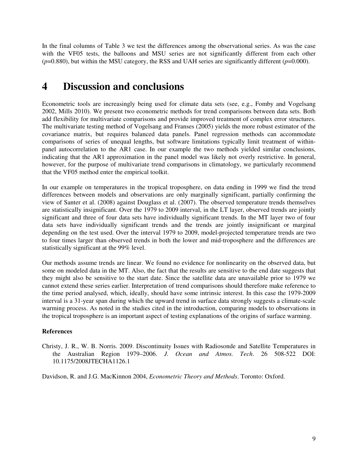In the final columns of Table 3 we test the differences among the observational series. As was the case with the VF05 tests, the balloons and MSU series are not significantly different from each other  $(p=0.880)$ , but within the MSU category, the RSS and UAH series are significantly different  $(p=0.000)$ .

# **4 Discussion and conclusions**

Econometric tools are increasingly being used for climate data sets (see, e.g., Fomby and Vogelsang 2002, Mills 2010). We present two econometric methods for trend comparisons between data sets. Both add flexibility for multivariate comparisons and provide improved treatment of complex error structures. The multivariate testing method of Vogelsang and Franses (2005) yields the more robust estimator of the covariance matrix, but requires balanced data panels. Panel regression methods can accommodate comparisons of series of unequal lengths, but software limitations typically limit treatment of withinpanel autocorrelation to the AR1 case. In our example the two methods yielded similar conclusions, indicating that the AR1 approximation in the panel model was likely not overly restrictive. In general, however, for the purpose of multivariate trend comparisons in climatology, we particularly recommend that the VF05 method enter the empirical toolkit.

In our example on temperatures in the tropical troposphere, on data ending in 1999 we find the trend differences between models and observations are only marginally significant, partially confirming the view of Santer et al. (2008) against Douglass et al. (2007). The observed temperature trends themselves are statistically insignificant. Over the 1979 to 2009 interval, in the LT layer, observed trends are jointly significant and three of four data sets have individually significant trends. In the MT layer two of four data sets have individually significant trends and the trends are jointly insignificant or marginal depending on the test used. Over the interval 1979 to 2009, model-projected temperature trends are two to four times larger than observed trends in both the lower and mid-troposphere and the differences are statistically significant at the 99% level.

Our methods assume trends are linear. We found no evidence for nonlinearity on the observed data, but some on modeled data in the MT. Also, the fact that the results are sensitive to the end date suggests that they might also be sensitive to the start date. Since the satellite data are unavailable prior to 1979 we cannot extend these series earlier. Interpretation of trend comparisons should therefore make reference to the time period analysed, which, ideally, should have some intrinsic interest. In this case the 1979-2009 interval is a 31-year span during which the upward trend in surface data strongly suggests a climate-scale warming process. As noted in the studies cited in the introduction, comparing models to observations in the tropical troposphere is an important aspect of testing explanations of the origins of surface warming.

## **References**

Christy, J. R., W. B. Norris. 2009. Discontinuity Issues with Radiosonde and Satellite Temperatures in the Australian Region 1979–2006. *J. Ocean and Atmos. Tech*. 26 508-522 DOI: 10.1175/2008JTECHA1126.1

Davidson, R. and J.G. MacKinnon 2004, *Econometric Theory and Methods*. Toronto: Oxford.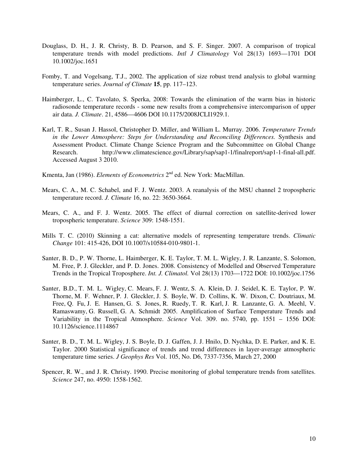- Douglass, D. H., J. R. Christy, B. D. Pearson, and S. F. Singer. 2007. A comparison of tropical temperature trends with model predictions. *Intl J Climatology* Vol 28(13) 1693—1701 DOI 10.1002/joc.1651
- Fomby, T. and Vogelsang, T.J., 2002. The application of size robust trend analysis to global warming temperature series. *Journal of Climate* **15**, pp. 117–123.
- Haimberger, L., C. Tavolato, S. Sperka, 2008: Towards the elimination of the warm bias in historic radiosonde temperature records - some new results from a comprehensive intercomparison of upper air data. *J. Climate*. 21, 4586—4606 DOI 10.1175/2008JCLI1929.1.
- Karl, T. R., Susan J. Hassol, Christopher D. Miller, and William L. Murray. 2006. *Temperature Trends in the Lower Atmosphere: Steps for Understanding and Reconciling Differences.* Synthesis and Assessment Product. Climate Change Science Program and the Subcommittee on Global Change Research. http://www.climatescience.gov/Library/sap/sap1-1/finalreport/sap1-1-final-all.pdf. Accessed August 3 2010.
- Kmenta, Jan (1986). *Elements of Econometrics* 2<sup>nd</sup> ed. New York: MacMillan.
- Mears, C. A., M. C. Schabel, and F. J. Wentz. 2003. A reanalysis of the MSU channel 2 tropospheric temperature record. *J. Climate* 16, no. 22: 3650-3664.
- Mears, C. A., and F. J. Wentz. 2005. The effect of diurnal correction on satellite-derived lower tropospheric temperature. *Science* 309: 1548-1551.
- Mills T. C. (2010) Skinning a cat: alternative models of representing temperature trends. *Climatic Change* 101: 415-426, DOI 10.1007/s10584-010-9801-1.
- Santer, B. D., P. W. Thorne, L. Haimberger, K. E. Taylor, T. M. L. Wigley, J. R. Lanzante, S. Solomon, M. Free, P. J. Gleckler, and P. D. Jones. 2008. Consistency of Modelled and Observed Temperature Trends in the Tropical Troposphere. *Int. J. Climatol.* Vol 28(13) 1703—1722 DOI: 10.1002/joc.1756
- Santer, B.D., T. M. L. Wigley, C. Mears, F. J. Wentz, S. A. Klein, D. J. Seidel, K. E. Taylor, P. W. Thorne, M. F. Wehner, P. J. Gleckler, J. S. Boyle, W. D. Collins, K. W. Dixon, C. Doutriaux, M. Free, Q. Fu, J. E. Hansen, G. S. Jones, R. Ruedy, T. R. Karl, J. R. Lanzante, G. A. Meehl, V. Ramaswamy, G. Russell, G. A. Schmidt 2005. Amplification of Surface Temperature Trends and Variability in the Tropical Atmosphere. *Science* Vol. 309. no. 5740, pp. 1551 – 1556 DOI: 10.1126/science.1114867
- Santer, B. D., T. M. L. Wigley, J. S. Boyle, D. J. Gaffen, J. J. Hnilo, D. Nychka, D. E. Parker, and K. E. Taylor. 2000 Statistical significance of trends and trend differences in layer-average atmospheric temperature time series. *J Geophys Res* Vol. 105, No. D6, 7337-7356, March 27, 2000
- Spencer, R. W., and J. R. Christy. 1990. Precise monitoring of global temperature trends from satellites. *Science* 247, no. 4950: 1558-1562.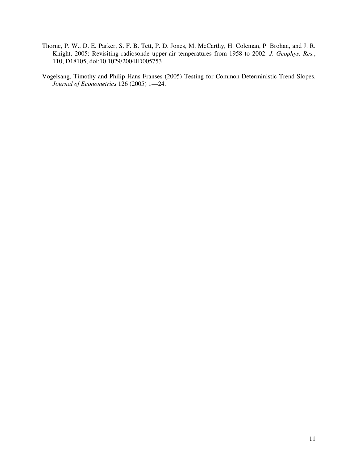- Thorne, P. W., D. E. Parker, S. F. B. Tett, P. D. Jones, M. McCarthy, H. Coleman, P. Brohan, and J. R. Knight, 2005: Revisiting radiosonde upper-air temperatures from 1958 to 2002. *J. Geophys. Res.*, 110, D18105, doi:10.1029/2004JD005753.
- Vogelsang, Timothy and Philip Hans Franses (2005) Testing for Common Deterministic Trend Slopes. *Journal of Econometrics* 126 (2005) 1—24.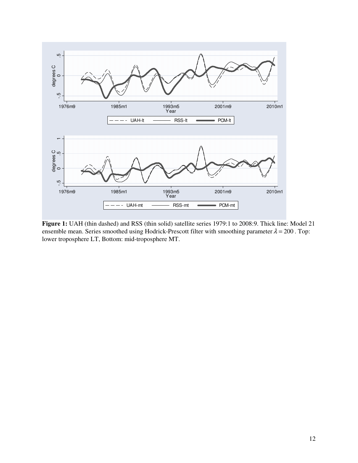

**Figure 1:** UAH (thin dashed) and RSS (thin solid) satellite series 1979:1 to 2008:9. Thick line: Model 21 ensemble mean. Series smoothed using Hodrick-Prescott filter with smoothing parameter  $\lambda = 200$ . Top: lower troposphere LT, Bottom: mid-troposphere MT.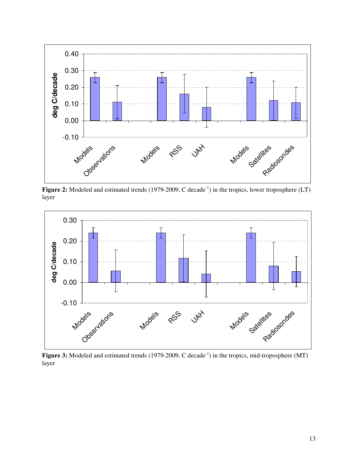

Figure 2: Modeled and estimated trends (1979-2009, C decade<sup>-1</sup>) in the tropics, lower troposphere (LT) layer



Figure 3: Modeled and estimated trends (1979-2009, C decade<sup>-1</sup>) in the tropics, mid-troposphere (MT) layer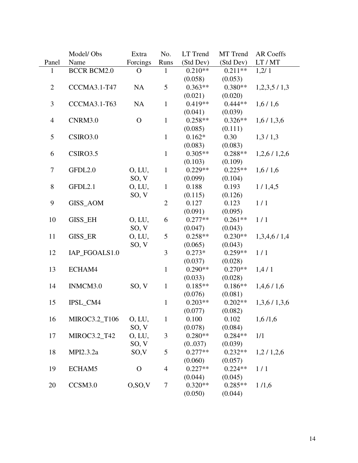|                | Model/Obs           | Extra            | No.                      | LT Trend  | MT Trend  | AR Coeffs   |
|----------------|---------------------|------------------|--------------------------|-----------|-----------|-------------|
| Panel          | Name                | Forcings         | Runs                     | (Std Dev) | (Std Dev) | LT / MT     |
| $\mathbf{1}$   | <b>BCCR BCM2.0</b>  | $\mathbf{O}$     | $\mathbf{1}$             | $0.210**$ | $0.211**$ | 1,2/1       |
|                |                     |                  |                          | (0.058)   | (0.053)   |             |
| $\overline{2}$ | CCCMA3.1-T47        | NA               | 5                        | $0.363**$ | $0.380**$ | 1,2,3,5/1,3 |
|                |                     |                  |                          | (0.021)   | (0.020)   |             |
| 3              | <b>CCCMA3.1-T63</b> | NA               | $\mathbf{1}$             | $0.419**$ | $0.444**$ | 1,6/1,6     |
|                |                     |                  |                          | (0.041)   | (0.039)   |             |
| $\overline{4}$ | CNRM3.0             | $\mathbf{O}$     | $\mathbf{1}$             | $0.258**$ | $0.326**$ | 1,6/1,3,6   |
|                |                     |                  |                          | (0.085)   | (0.111)   |             |
| 5              | CSIRO3.0            |                  | $\mathbf{1}$             | $0.162*$  | 0.30      | 1,3/1,3     |
|                |                     |                  |                          | (0.083)   | (0.083)   |             |
| 6              | CSIRO3.5            |                  | $\mathbf{1}$             | $0.305**$ | $0.288**$ | 1,2,6/1,2,6 |
|                |                     |                  |                          | (0.103)   | (0.109)   |             |
| $\tau$         | GFDL2.0             | O, LU,           | $\mathbf{1}$             | $0.229**$ | $0.225**$ | 1,6/1,6     |
|                |                     | SO, V            |                          | (0.099)   | (0.104)   |             |
| 8              | GFDL2.1             | O, LU,           | $\mathbf{1}$             | 0.188     | 0.193     | 1/1,4,5     |
|                |                     | SO, V            |                          | (0.115)   | (0.126)   |             |
| 9              | GISS_AOM            |                  | $\overline{2}$           | 0.127     | 0.123     | 1/1         |
|                |                     |                  |                          | (0.091)   | (0.095)   |             |
| 10             | <b>GISS_EH</b>      | O, LU,           | 6                        | $0.277**$ | $0.261**$ | 1/1         |
|                |                     | SO, V            |                          | (0.047)   | (0.043)   |             |
| 11             | GISS_ER             | O, LU,           | 5                        | $0.258**$ | $0.230**$ | 1,3,4,6/1,4 |
|                |                     | SO, V            |                          | (0.065)   | (0.043)   |             |
| 12             | IAP_FGOALS1.0       |                  | 3                        | $0.273*$  | $0.259**$ | 1/1         |
|                |                     |                  |                          | (0.037)   | (0.028)   |             |
| 13             | ECHAM4              |                  | $\mathbf{1}$             | $0.290**$ | $0.270**$ | 1,4/1       |
|                |                     |                  |                          | (0.033)   | (0.028)   |             |
| 14             | INMCM3.0            | SO, V            | $\mathbf{1}$             | $0.185**$ | $0.186**$ | 1,4,6/1,6   |
|                |                     |                  |                          | (0.076)   | (0.081)   |             |
| 15             | IPSL CM4            |                  | $\mathbf{1}$             | $0.203**$ | $0.202**$ | 1,3,6/1,3,6 |
|                |                     |                  |                          | (0.077)   | (0.082)   |             |
| 16             | MIROC3.2_T106       | O, LU,           | $\mathbf{1}$             | 0.100     | 0.102     | 1,6/1,6     |
|                |                     | SO, V            |                          | (0.078)   | (0.084)   |             |
| 17             | MIROC3.2_T42        | O, LU,           | 3                        | $0.280**$ | $0.284**$ | 1/1         |
|                |                     | SO, V            |                          | (0.037)   | (0.039)   |             |
| 18             | MPI2.3.2a           | SO <sub>.V</sub> | 5                        | $0.277**$ | $0.232**$ | 1,2/1,2,6   |
|                |                     |                  |                          | (0.060)   | (0.057)   |             |
| 19             | ECHAM5              | $\mathbf{O}$     | $\overline{\mathcal{A}}$ | $0.227**$ | $0.224**$ | 1/1         |
|                |                     |                  |                          | (0.044)   | (0.045)   |             |
| 20             | CCSM3.0             | O, SO, V         | $\tau$                   | $0.320**$ | $0.285**$ | 1/1,6       |
|                |                     |                  |                          | (0.050)   | (0.044)   |             |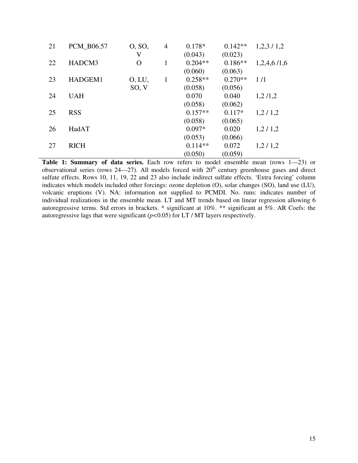| 21 | PCM_B06.57  | O, SO,         | $\overline{4}$ | $0.178*$  | $0.142**$ | 1,2,3/1,2   |
|----|-------------|----------------|----------------|-----------|-----------|-------------|
|    |             | V              |                | (0.043)   | (0.023)   |             |
| 22 | HADCM3      | $\overline{O}$ | 1              | $0.204**$ | $0.186**$ | 1,2,4,6/1,6 |
|    |             |                |                | (0.060)   | (0.063)   |             |
| 23 | HADGEM1     | O, LU,         | 1              | $0.258**$ | $0.270**$ | 1/1         |
|    |             | SO, V          |                | (0.058)   | (0.056)   |             |
| 24 | <b>UAH</b>  |                |                | 0.070     | 0.040     | 1,2/1,2     |
|    |             |                |                | (0.058)   | (0.062)   |             |
| 25 | <b>RSS</b>  |                |                | $0.157**$ | $0.117*$  | 1,2/1,2     |
|    |             |                |                | (0.058)   | (0.065)   |             |
| 26 | HadAT       |                |                | $0.097*$  | 0.020     | 1,2/1,2     |
|    |             |                |                | (0.053)   | (0.066)   |             |
| 27 | <b>RICH</b> |                |                | $0.114**$ | 0.072     | 1,2/1,2     |
|    |             |                |                | (0.050)   | (0.059)   |             |

**Table 1: Summary of data series.** Each row refers to model ensemble mean (rows 1—23) or observational series (rows  $24-27$ ). All models forced with  $20<sup>th</sup>$  century greenhouse gases and direct sulfate effects. Rows 10, 11, 19, 22 and 23 also include indirect sulfate effects. 'Extra forcing' column indicates which models included other forcings: ozone depletion (O), solar changes (SO), land use (LU), volcanic eruptions (V). NA: information not supplied to PCMDI. No. runs: indicates number of individual realizations in the ensemble mean. LT and MT trends based on linear regression allowing 6 autoregressive terms. Std errors in brackets. \* significant at 10%. \*\* significant at 5%. AR Coefs: the autoregressive lags that were significant (*p<*0.05) for LT / MT layers respectively.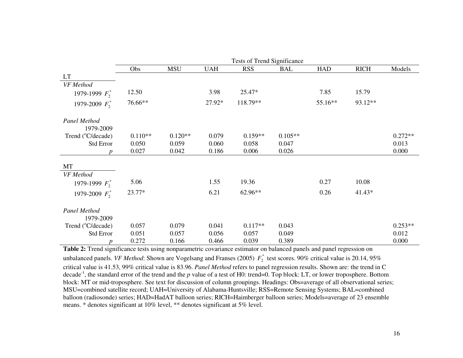|                                | Tests of Trend Significance |            |            |            |            |            |             |           |
|--------------------------------|-----------------------------|------------|------------|------------|------------|------------|-------------|-----------|
|                                | Obs                         | <b>MSU</b> | <b>UAH</b> | <b>RSS</b> | <b>BAL</b> | <b>HAD</b> | <b>RICH</b> | Models    |
| <b>LT</b>                      |                             |            |            |            |            |            |             |           |
| VF Method                      |                             |            |            |            |            |            |             |           |
| 1979-1999 $F_2^*$              | 12.50                       |            | 3.98       | 25.47*     |            | 7.85       | 15.79       |           |
| 1979-2009 $F_2^*$              | 76.66**                     |            | 27.92*     | 118.79**   |            | 55.16**    | 93.12**     |           |
| Panel Method<br>1979-2009      |                             |            |            |            |            |            |             |           |
| Trend (°C/decade)              | $0.110**$                   | $0.120**$  | 0.079      | $0.159**$  | $0.105**$  |            |             | $0.272**$ |
| <b>Std Error</b>               | 0.050                       | 0.059      | 0.060      | 0.058      | 0.047      |            |             | 0.013     |
| n                              | 0.027                       | 0.042      | 0.186      | 0.006      | 0.026      |            |             | 0.000     |
| MT                             |                             |            |            |            |            |            |             |           |
| VF Method                      |                             |            |            |            |            |            |             |           |
| 1979-1999 $F_2^*$              | 5.06                        |            | 1.55       | 19.36      |            | 0.27       | 10.08       |           |
| 1979-2009 $F_2^*$              | 23.77*                      |            | 6.21       | 62.96**    |            | 0.26       | $41.43*$    |           |
| Panel Method<br>1979-2009      |                             |            |            |            |            |            |             |           |
| Trend ( <sup>o</sup> C/decade) | 0.057                       | 0.079      | 0.041      | $0.117**$  | 0.043      |            |             | $0.253**$ |
| <b>Std Error</b>               | 0.051                       | 0.057      | 0.056      | 0.057      | 0.049      |            |             | 0.012     |
| $\boldsymbol{p}$               | 0.272                       | 0.166      | 0.466      | 0.039      | 0.389      |            |             | 0.000     |

**Table 2:** Trend significance tests using nonparametric covariance estimator on balanced panels and panel regression on unbalanced panels. *VF Method*: Shown are Vogelsang and Franses (2005)  $F_2^*$  test scores. 90% critical value is 20.14, 95% critical value is 41.53, 99% critical value is 83.96. *Panel Method* refers to panel regression results. Shown are: the trend in C decade-1, the standard error of the trend and the *p* value of a test of H0: trend=0. Top block: LT, or lower troposphere. Bottom block: MT or mid-troposphere. See text for discussion of column groupings. Headings: Obs=average of all observational series; MSU=combined satellite record; UAH=University of Alabama-Huntsville; RSS=Remote Sensing Systems; BAL=combined balloon (radiosonde) series; HAD=HadAT balloon series; RICH=Haimberger balloon series; Models=average of 23 ensemble means. \* denotes significant at 10% level, \*\* denotes significant at 5% level.